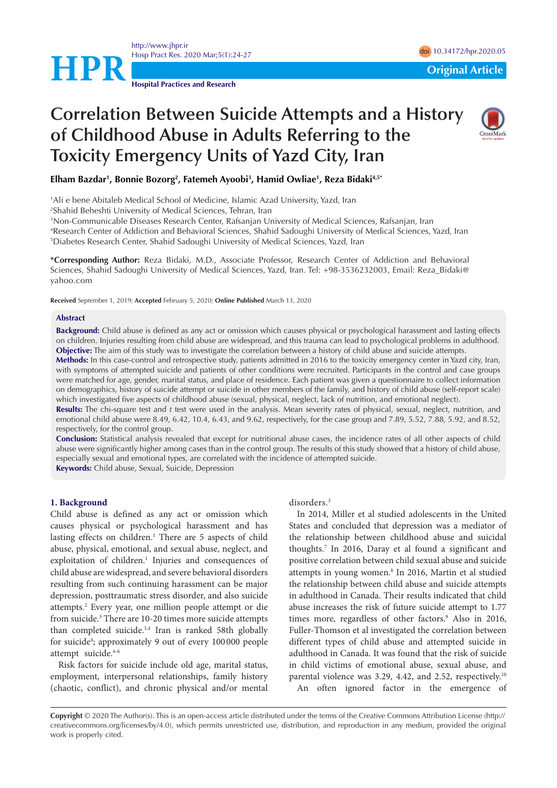<http://www.jhpr.ir> Hosp Pract Res. 2020 Mar;5(1):24-27 doi [10.34172/hpr.2020.05](https://doi.org/10.34172/hpr.2020.05)



# **Correlation Between Suicide Attempts and a History of Childhood Abuse in Adults Referring to the Toxicity Emergency Units of Yazd City, Iran**



# **Elham Bazdar1 , Bonnie Bozorg2 , Fatemeh Ayoobi3 , Hamid Owliae1 , Reza Bidaki4,5\***

1 Ali e bene Abitaleb Medical School of Medicine, Islamic Azad University, Yazd, Iran

2 Shahid Beheshti University of Medical Sciences, Tehran, Iran

3 Non-Communicable Diseases Research Center, Rafsanjan University of Medical Sciences, Rafsanjan, Iran

4 Research Center of Addiction and Behavioral Sciences, Shahid Sadoughi University of Medical Sciences, Yazd, Iran 5 Diabetes Research Center, Shahid Sadoughi University of Medical Sciences, Yazd, Iran

**\*Corresponding Author:** Reza Bidaki, M.D., Associate Professor, Research Center of Addiction and Behavioral Sciences, Shahid Sadoughi University of Medical Sciences, Yazd, Iran. Tel: +98-3536232003, Email: Reza\_Bidaki@ yahoo.com

**Received** September 1, 2019; **Accepted** February 5, 2020; **Online Published** March 13, 2020

#### **Abstract**

**Background:** Child abuse is defined as any act or omission which causes physical or psychological harassment and lasting effects on children. Injuries resulting from child abuse are widespread, and this trauma can lead to psychological problems in adulthood. **Objective:** The aim of this study was to investigate the correlation between a history of child abuse and suicide attempts.

**Methods:** In this case-control and retrospective study, patients admitted in 2016 to the toxicity emergency center in Yazd city, Iran, with symptoms of attempted suicide and patients of other conditions were recruited. Participants in the control and case groups were matched for age, gender, marital status, and place of residence. Each patient was given a questionnaire to collect information on demographics, history of suicide attempt or suicide in other members of the family, and history of child abuse (self-report scale) which investigated five aspects of childhood abuse (sexual, physical, neglect, lack of nutrition, and emotional neglect).

**Results:** The chi-square test and *t* test were used in the analysis. Mean severity rates of physical, sexual, neglect, nutrition, and emotional child abuse were 8.49, 6.42, 10.4, 6.43, and 9.62, respectively, for the case group and 7.89, 5.52, 7.88, 5.92, and 8.52, respectively, for the control group.

**Conclusion:** Statistical analysis revealed that except for nutritional abuse cases, the incidence rates of all other aspects of child abuse were significantly higher among cases than in the control group. The results of this study showed that a history of child abuse, especially sexual and emotional types, are correlated with the incidence of attempted suicide.

**Keywords:** Child abuse, Sexual, Suicide, Depression

## **1. Background**

Child abuse is defined as any act or omission which causes physical or psychological harassment and has lasting effects on children.<sup>1</sup> There are 5 aspects of child abuse, physical, emotional, and sexual abuse, neglect, and exploitation of children.<sup>1</sup> Injuries and consequences of child abuse are widespread, and severe behavioral disorders resulting from such continuing harassment can be major depression, posttraumatic stress disorder, and also suicide attempts.2 Every year, one million people attempt or die from suicide.<sup>3</sup> There are 10-20 times more suicide attempts than completed suicide.<sup>3,4</sup> Iran is ranked 58th globally for suicide<sup>4</sup>; approximately 9 out of every 100000 people attempt suicide.<sup>4-6</sup>

Risk factors for suicide include old age, marital status, employment, interpersonal relationships, family history (chaotic, conflict), and chronic physical and/or mental

#### disorders.3

In 2014, Miller et al studied adolescents in the United States and concluded that depression was a mediator of the relationship between childhood abuse and suicidal thoughts.7 In 2016, Daray et al found a significant and positive correlation between child sexual abuse and suicide attempts in young women.<sup>8</sup> In 2016, Martin et al studied the relationship between child abuse and suicide attempts in adulthood in Canada. Their results indicated that child abuse increases the risk of future suicide attempt to 1.77 times more, regardless of other factors.<sup>9</sup> Also in 2016, Fuller-Thomson et al investigated the correlation between different types of child abuse and attempted suicide in adulthood in Canada. It was found that the risk of suicide in child victims of emotional abuse, sexual abuse, and parental violence was 3.29, 4.42, and 2.52, respectively.10 An often ignored factor in the emergence of

**Copyright** © 2020 The Author(s). This is an open-access article distributed under the terms of the Creative Commons Attribution License (http:// creativecommons.org/licenses/by/4.0), which permits unrestricted use, distribution, and reproduction in any medium, provided the original work is properly cited.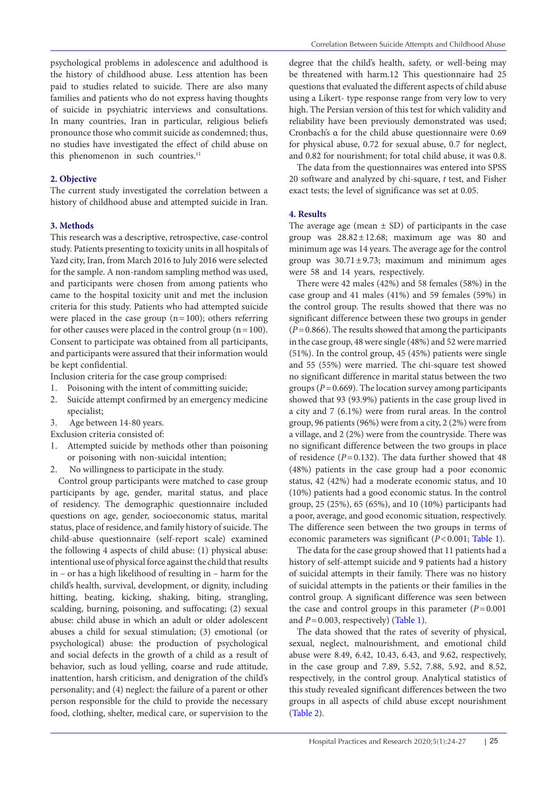psychological problems in adolescence and adulthood is the history of childhood abuse. Less attention has been paid to studies related to suicide. There are also many families and patients who do not express having thoughts of suicide in psychiatric interviews and consultations. In many countries, Iran in particular, religious beliefs pronounce those who commit suicide as condemned; thus, no studies have investigated the effect of child abuse on this phenomenon in such countries.<sup>11</sup>

# **2. Objective**

The current study investigated the correlation between a history of childhood abuse and attempted suicide in Iran.

## **3. Methods**

This research was a descriptive, retrospective, case-control study. Patients presenting to toxicity units in all hospitals of Yazd city, Iran, from March 2016 to July 2016 were selected for the sample. A non-random sampling method was used, and participants were chosen from among patients who came to the hospital toxicity unit and met the inclusion criteria for this study. Patients who had attempted suicide were placed in the case group  $(n=100)$ ; others referring for other causes were placed in the control group  $(n=100)$ . Consent to participate was obtained from all participants, and participants were assured that their information would be kept confidential.

Inclusion criteria for the case group comprised:

- 1. Poisoning with the intent of committing suicide;
- 2. Suicide attempt confirmed by an emergency medicine specialist;
- 3. Age between 14-80 years.

Exclusion criteria consisted of:

- 1. Attempted suicide by methods other than poisoning or poisoning with non-suicidal intention;
- 2. No willingness to participate in the study.

Control group participants were matched to case group participants by age, gender, marital status, and place of residency. The demographic questionnaire included questions on age, gender, socioeconomic status, marital status, place of residence, and family history of suicide. The child-abuse questionnaire (self-report scale) examined the following 4 aspects of child abuse: (1) physical abuse: intentional use of physical force against the child that results in – or has a high likelihood of resulting in – harm for the child's health, survival, development, or dignity, including hitting, beating, kicking, shaking, biting, strangling, scalding, burning, poisoning, and suffocating; (2) sexual abuse: child abuse in which an adult or older adolescent abuses a child for sexual stimulation; (3) emotional (or psychological) abuse: the production of psychological and social defects in the growth of a child as a result of behavior, such as loud yelling, coarse and rude attitude, inattention, harsh criticism, and denigration of the child's personality; and (4) neglect: the failure of a parent or other person responsible for the child to provide the necessary food, clothing, shelter, medical care, or supervision to the

degree that the child's health, safety, or well-being may be threatened with harm.12 This questionnaire had 25 questions that evaluated the different aspects of child abuse using a Likert- type response range from very low to very high. The Persian version of this test for which validity and reliability have been previously demonstrated was used; Cronbach's α for the child abuse questionnaire were 0.69 for physical abuse, 0.72 for sexual abuse, 0.7 for neglect, and 0.82 for nourishment; for total child abuse, it was 0.8.

The data from the questionnaires was entered into SPSS 20 software and analyzed by chi-square, *t* test, and Fisher exact tests; the level of significance was set at 0.05.

#### **4. Results**

The average age (mean  $\pm$  SD) of participants in the case group was  $28.82 \pm 12.68$ ; maximum age was 80 and minimum age was 14 years. The average age for the control group was  $30.71 \pm 9.73$ ; maximum and minimum ages were 58 and 14 years, respectively.

There were 42 males (42%) and 58 females (58%) in the case group and 41 males (41%) and 59 females (59%) in the control group. The results showed that there was no significant difference between these two groups in gender  $(P=0.866)$ . The results showed that among the participants in the case group, 48 were single (48%) and 52 were married (51%). In the control group, 45 (45%) patients were single and 55 (55%) were married. The chi-square test showed no significant difference in marital status between the two groups ( $P = 0.669$ ). The location survey among participants showed that 93 (93.9%) patients in the case group lived in a city and 7 (6.1%) were from rural areas. In the control group, 96 patients (96%) were from a city, 2 (2%) were from a village, and 2 (2%) were from the countryside. There was no significant difference between the two groups in place of residence  $(P=0.132)$ . The data further showed that 48 (48%) patients in the case group had a poor economic status, 42 (42%) had a moderate economic status, and 10 (10%) patients had a good economic status. In the control group, 25 (25%), 65 (65%), and 10 (10%) participants had a poor, average, and good economic situation, respectively. The difference seen between the two groups in terms of economic parameters was significant (*P*<0.001; [Table 1](#page-2-0)).

The data for the case group showed that 11 patients had a history of self-attempt suicide and 9 patients had a history of suicidal attempts in their family. There was no history of suicidal attempts in the patients or their families in the control group. A significant difference was seen between the case and control groups in this parameter  $(P=0.001)$ and  $P=0.003$ , respectively) [\(Table 1\)](#page-2-0).

The data showed that the rates of severity of physical, sexual, neglect, malnourishment, and emotional child abuse were 8.49, 6.42, 10.43, 6.43, and 9.62, respectively, in the case group and 7.89, 5.52, 7.88, 5.92, and 8.52, respectively, in the control group. Analytical statistics of this study revealed significant differences between the two groups in all aspects of child abuse except nourishment [\(Table 2\)](#page-2-1).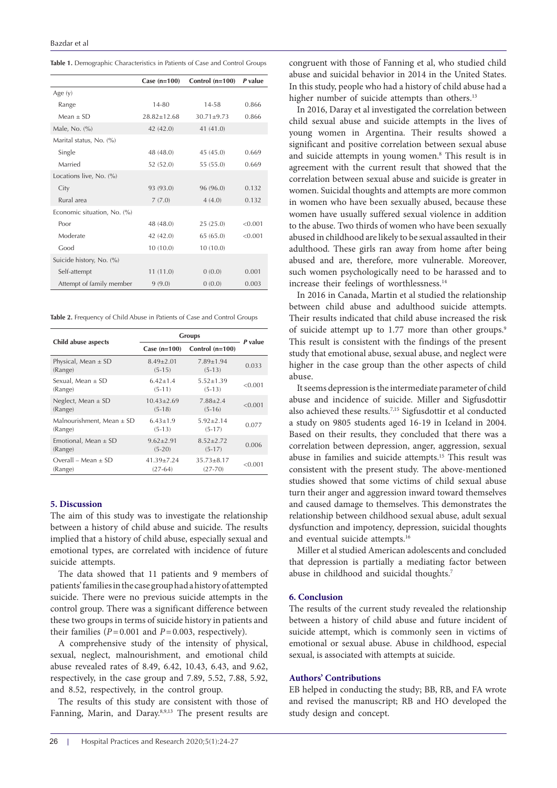<span id="page-2-0"></span>

| Table 1. Demographic Characteristics in Patients of Case and Control Groups |  |  |  |
|-----------------------------------------------------------------------------|--|--|--|
|-----------------------------------------------------------------------------|--|--|--|

|                             | Case $(n=100)$  | Control $(n=100)$ | P value |
|-----------------------------|-----------------|-------------------|---------|
| Age $(y)$                   |                 |                   |         |
| Range                       | 14-80           | 14-58             | 0.866   |
| Mean $+$ SD                 | $28.82 + 12.68$ | $30.71 \pm 9.73$  | 0.866   |
| Male, No. (%)               | 42 (42.0)       | 41 (41.0)         |         |
| Marital status, No. (%)     |                 |                   |         |
| Single                      | 48 (48.0)       | 45(45.0)          | 0.669   |
| Married                     | 52 (52.0)       | 55 (55.0)         | 0.669   |
| Locations live, No. (%)     |                 |                   |         |
| City                        | 93 (93.0)       | 96 (96.0)         | 0.132   |
| Rural area                  | 7(7.0)          | 4(4.0)            | 0.132   |
| Economic situation, No. (%) |                 |                   |         |
| Poor                        | 48 (48.0)       | 25(25.0)          | < 0.001 |
| Moderate                    | 42 (42.0)       | 65 (65.0)         | < 0.001 |
| Good                        | 10(10.0)        | 10(10.0)          |         |
| Suicide history, No. (%)    |                 |                   |         |
| Self-attempt                | 11(11.0)        | 0(0.0)            | 0.001   |
| Attempt of family member    | 9(9.0)          | 0(0.0)            | 0.003   |
|                             |                 |                   |         |

<span id="page-2-1"></span>**Table 2.** Frequency of Child Abuse in Patients of Case and Control Groups

| Child abuse aspects           | <b>Groups</b>    |                   |         |
|-------------------------------|------------------|-------------------|---------|
|                               | Case $(n=100)$   | Control $(n=100)$ | P value |
| Physical, Mean $\pm$ SD       | $8.49 \pm 2.01$  | $7.89 \pm 1.94$   | 0.033   |
| (Range)                       | $(5-15)$         | $(5-13)$          |         |
| Sexual, Mean $\pm$ SD         | $6.42 + 1.4$     | $5.52 \pm 1.39$   | < 0.001 |
| (Range)                       | $(5-11)$         | $(5-13)$          |         |
| Neglect, Mean $\pm$ SD        | $10.43 \pm 2.69$ | $7.88 + 2.4$      | < 0.001 |
| (Range)                       | $(5-18)$         | $(5-16)$          |         |
| Malnourishment, Mean $\pm$ SD | $6.43 + 1.9$     | $5.92 + 2.14$     | 0.077   |
| (Range)                       | $(5-13)$         | $(5-17)$          |         |
| Emotional, Mean $\pm$ SD      | $9.62 + 2.91$    | $8.52 + 2.72$     | 0.006   |
| (Range)                       | $(5-20)$         | $(5-17)$          |         |
| Overall – Mean $\pm$ SD       | $41.39 \pm 7.24$ | $35.73 \pm 8.17$  | < 0.001 |
| (Range)                       | $(27-64)$        | $(27 - 70)$       |         |

#### **5. Discussion**

The aim of this study was to investigate the relationship between a history of child abuse and suicide. The results implied that a history of child abuse, especially sexual and emotional types, are correlated with incidence of future suicide attempts.

The data showed that 11 patients and 9 members of patients' families in the case group had a history of attempted suicide. There were no previous suicide attempts in the control group. There was a significant difference between these two groups in terms of suicide history in patients and their families  $(P=0.001$  and  $P=0.003$ , respectively).

A comprehensive study of the intensity of physical, sexual, neglect, malnourishment, and emotional child abuse revealed rates of 8.49, 6.42, 10.43, 6.43, and 9.62, respectively, in the case group and 7.89, 5.52, 7.88, 5.92, and 8.52, respectively, in the control group.

The results of this study are consistent with those of Fanning, Marin, and Daray.<sup>8,9,13</sup> The present results are

congruent with those of Fanning et al, who studied child abuse and suicidal behavior in 2014 in the United States. In this study, people who had a history of child abuse had a higher number of suicide attempts than others.<sup>13</sup>

In 2016, Daray et al investigated the correlation between child sexual abuse and suicide attempts in the lives of young women in Argentina. Their results showed a significant and positive correlation between sexual abuse and suicide attempts in young women.<sup>8</sup> This result is in agreement with the current result that showed that the correlation between sexual abuse and suicide is greater in women. Suicidal thoughts and attempts are more common in women who have been sexually abused, because these women have usually suffered sexual violence in addition to the abuse. Two thirds of women who have been sexually abused in childhood are likely to be sexual assaulted in their adulthood. These girls ran away from home after being abused and are, therefore, more vulnerable. Moreover, such women psychologically need to be harassed and to increase their feelings of worthlessness.<sup>14</sup>

In 2016 in Canada, Martin et al studied the relationship between child abuse and adulthood suicide attempts. Their results indicated that child abuse increased the risk of suicide attempt up to 1.77 more than other groups.<sup>9</sup> This result is consistent with the findings of the present study that emotional abuse, sexual abuse, and neglect were higher in the case group than the other aspects of child abuse.

It seems depression is the intermediate parameter of child abuse and incidence of suicide. Miller and Sigfusdottir also achieved these results.7,15 Sigfusdottir et al conducted a study on 9805 students aged 16-19 in Iceland in 2004. Based on their results, they concluded that there was a correlation between depression, anger, aggression, sexual abuse in families and suicide attempts.15 This result was consistent with the present study. The above-mentioned studies showed that some victims of child sexual abuse turn their anger and aggression inward toward themselves and caused damage to themselves. This demonstrates the relationship between childhood sexual abuse, adult sexual dysfunction and impotency, depression, suicidal thoughts and eventual suicide attempts.16

Miller et al studied American adolescents and concluded that depression is partially a mediating factor between abuse in childhood and suicidal thoughts.<sup>7</sup>

## **6. Conclusion**

The results of the current study revealed the relationship between a history of child abuse and future incident of suicide attempt, which is commonly seen in victims of emotional or sexual abuse. Abuse in childhood, especial sexual, is associated with attempts at suicide.

#### **Authors' Contributions**

EB helped in conducting the study; BB, RB, and FA wrote and revised the manuscript; RB and HO developed the study design and concept.